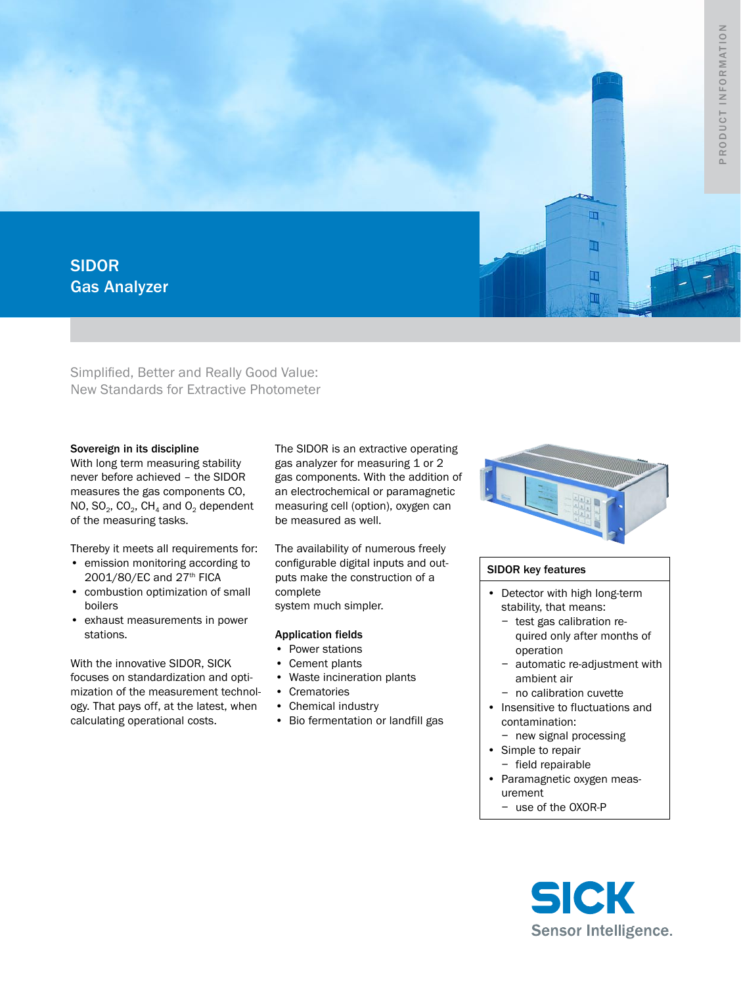

Simplified, Better and Really Good Value: New Standards for Extractive Photometer

## Sovereign in its discipline

With long term measuring stability never before achieved – the SIDOR measures the gas components CO, NO,  $SO_2$ ,  $CO_2$ ,  $CH_4$  and  $O_2$  dependent of the measuring tasks.

Thereby it meets all requirements for:

- emission monitoring according to 2001/80/EC and 27th FICA
- • combustion optimization of small boilers
- • exhaust measurements in power stations.

With the innovative SIDOR, SICK focuses on standardization and optimization of the measurement technology. That pays off, at the latest, when calculating operational costs.

The SIDOR is an extractive operating gas analyzer for measuring 1 or 2 gas components. With the addition of an electrochemical or paramagnetic measuring cell (option), oxygen can be measured as well.

The availability of numerous freely configurable digital inputs and outputs make the construction of a complete

system much simpler.

## Application fields

- Power stations
- Cement plants
- • Waste incineration plants
- • Crematories
- • Chemical industry
- • Bio fermentation or landfill gas



# SIDOR key features

- Detector with high long-term stability, that means:
	- − test gas calibration required only after months of operation
	- − automatic re-adjustment with ambient air
	- − no calibration cuvette
- Insensitive to fluctuations and contamination:
	- − new signal processing
- • Simple to repair
- − field repairable
- • Paramagnetic oxygen measurement
	- − use of the OXOR-P